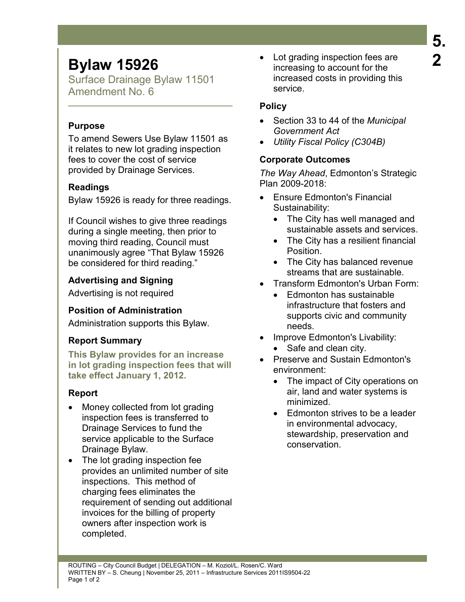# **Bylaw 15926**

Surface Drainage Bylaw 11501 Amendment No. 6

#### **Purpose**

To amend Sewers Use Bylaw 11501 as it relates to new lot grading inspection fees to cover the cost of service provided by Drainage Services.

## **Readings**

Bylaw 15926 is ready for three readings.

If Council wishes to give three readings during a single meeting, then prior to moving third reading, Council must unanimously agree "That Bylaw 15926 be considered for third reading."

## **Advertising and Signing**

Advertising is not required

## **Position of Administration**

Administration supports this Bylaw.

# **Report Summary**

**This Bylaw provides for an increase in lot grading inspection fees that will take effect January 1, 2012.** 

## **Report**

- Money collected from lot grading inspection fees is transferred to Drainage Services to fund the service applicable to the Surface Drainage Bylaw.
- The lot grading inspection fee provides an unlimited number of site inspections. This method of charging fees eliminates the requirement of sending out additional invoices for the billing of property owners after inspection work is completed.

• Lot grading inspection fees are increasing to account for the increased costs in providing this service.

## **Policy**

- Section 33 to 44 of the *Municipal Government Act*
- *Utility Fiscal Policy (C304B)*

## **Corporate Outcomes**

*The Way Ahead*, Edmonton's Strategic Plan 2009-2018:

- Ensure Edmonton's Financial Sustainability:
	- The City has well managed and sustainable assets and services.
	- The City has a resilient financial Position.
	- The City has balanced revenue streams that are sustainable.
- Transform Edmonton's Urban Form:
	- Edmonton has sustainable infrastructure that fosters and supports civic and community needs.
- Improve Edmonton's Livability:
	- Safe and clean city.
- Preserve and Sustain Edmonton's environment:
	- The impact of City operations on air, land and water systems is minimized.
	- Edmonton strives to be a leader in environmental advocacy, stewardship, preservation and conservation.